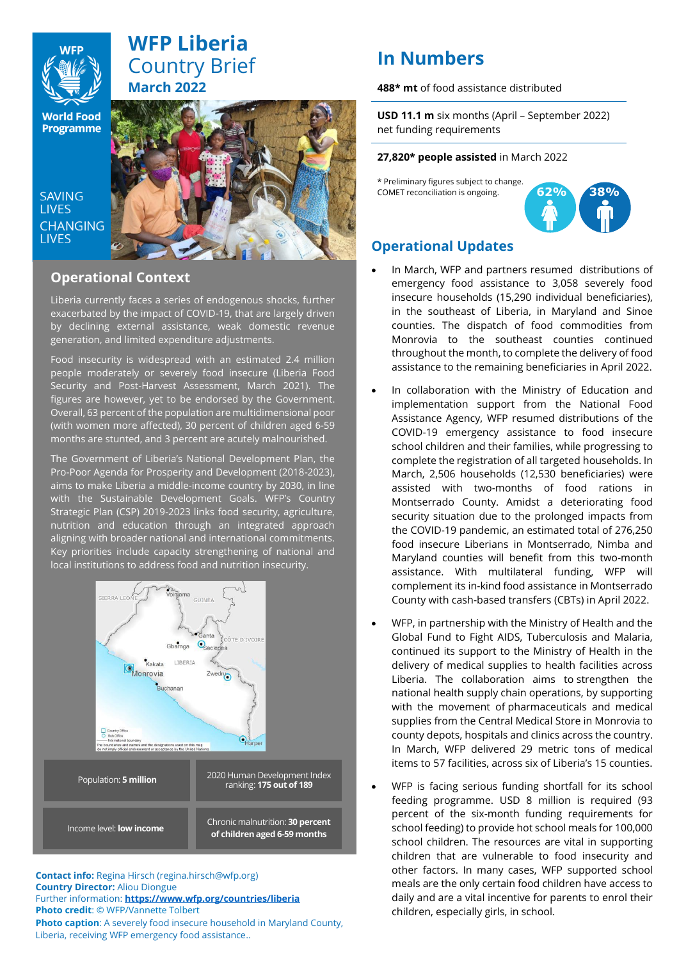

# **WFP Liberia** Country Brief **March 2022**

**World Food Programme** 

SAVING **TIVES CHANGING I IVES** 



# **Operational Context**

Liberia currently faces a series of endogenous shocks, further exacerbated by the impact of COVID-19, that are largely driven by declining external assistance, weak domestic revenue generation, and limited expenditure adjustments.

Food insecurity is widespread with an estimated 2.4 million people moderately or severely food insecure (Liberia Food Security and Post-Harvest Assessment, March 2021). The figures are however, yet to be endorsed by the Government. Overall, 63 percent of the population are multidimensional poor (with women more affected), 30 percent of children aged 6-59 months are stunted, and 3 percent are acutely malnourished.

The Government of Liberia's National Development Plan, the Pro-Poor Agenda for Prosperity and Development (2018-2023), aims to make Liberia a middle-income country by 2030, in line with the Sustainable Development Goals. WFP's Country Strategic Plan (CSP) 2019-2023 links food security, agriculture, nutrition and education through an integrated approach aligning with broader national and international commitments. Key priorities include capacity strengthening of national and local institutions to address food and nutrition insecurity.



**Contact info:** Regina Hirsch (regina.hirsch@wfp.org) **Country Director:** Aliou Diongue Further information: **<https://www.wfp.org/countries/liberia> Photo credit**: © WFP/Vannette Tolbert **Photo caption**: A severely food insecure household in Maryland County, Liberia, receiving WFP emergency food assistance..

# **In Numbers**

**488\* mt** of food assistance distributed

**USD 11.1 m** six months (April – September 2022) net funding requirements

#### **27,820\* people assisted** in March 2022

\* Preliminary figures subject to change. COMET reconciliation is ongoing.



# **Operational Updates**

- In March, WFP and partners resumed distributions of emergency food assistance to 3,058 severely food insecure households (15,290 individual beneficiaries), in the southeast of Liberia, in Maryland and Sinoe counties. The dispatch of food commodities from Monrovia to the southeast counties continued throughout the month, to complete the delivery of food assistance to the remaining beneficiaries in April 2022.
- In collaboration with the Ministry of Education and implementation support from the National Food Assistance Agency, WFP resumed distributions of the COVID-19 emergency assistance to food insecure school children and their families, while progressing to complete the registration of all targeted households. In March, 2,506 households (12,530 beneficiaries) were assisted with two-months of food rations in Montserrado County. Amidst a deteriorating food security situation due to the prolonged impacts from the COVID-19 pandemic, an estimated total of 276,250 food insecure Liberians in Montserrado, Nimba and Maryland counties will benefit from this two-month assistance. With multilateral funding, WFP will complement its in-kind food assistance in Montserrado County with cash-based transfers (CBTs) in April 2022.
- WFP, in partnership with the Ministry of Health and the Global Fund to Fight AIDS, Tuberculosis and Malaria, continued its support to the Ministry of Health in the delivery of medical supplies to health facilities across Liberia. The collaboration aims to strengthen the national health supply chain operations, by supporting with the movement of pharmaceuticals and medical supplies from the Central Medical Store in Monrovia to county depots, hospitals and clinics across the country. In March, WFP delivered 29 metric tons of medical items to 57 facilities, across six of Liberia's 15 counties.
- WFP is facing serious funding shortfall for its school feeding programme. USD 8 million is required (93 percent of the six-month funding requirements for school feeding) to provide hot school meals for 100,000 school children. The resources are vital in supporting children that are vulnerable to food insecurity and other factors. In many cases, WFP supported school meals are the only certain food children have access to daily and are a vital incentive for parents to enrol their children, especially girls, in school.